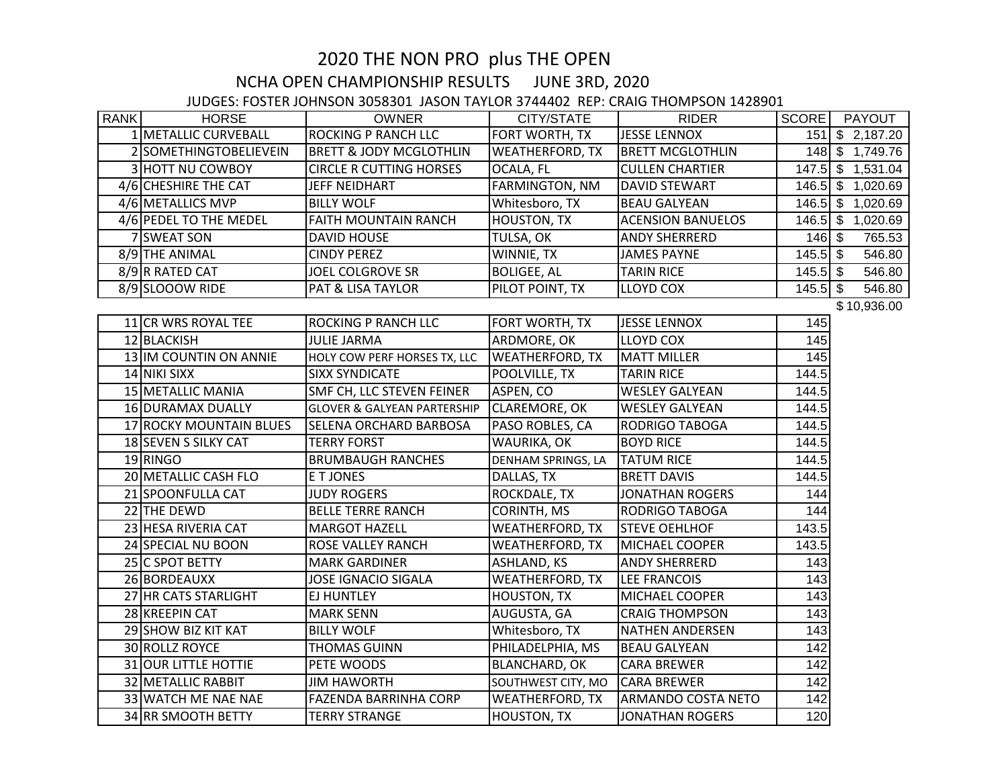## 2020 THE NON PRO plus THE OPEN

## NCHA OPEN CHAMPIONSHIP RESULTS JUNE 3RD, 2020

## JUDGES: FOSTER JOHNSON 3058301 JASON TAYLOR 3744402 REP: CRAIG THOMPSON 1428901

| <b>RANK</b> | <b>HORSE</b>            | <b>OWNER</b>                           | CITY/STATE             | <b>RIDER</b>             | SCORE             | PAYOUT            |
|-------------|-------------------------|----------------------------------------|------------------------|--------------------------|-------------------|-------------------|
|             | 1 METALLIC CURVEBALL    | <b>ROCKING P RANCH LLC</b>             | FORT WORTH, TX         | <b>JESSE LENNOX</b>      |                   | 151 \$ 2,187.20   |
|             | 2 SOMETHINGTOBELIEVEIN  | <b>BRETT &amp; JODY MCGLOTHLIN</b>     | <b>WEATHERFORD, TX</b> | <b>BRETT MCGLOTHLIN</b>  |                   | 148 \$ 1,749.76   |
|             | 3 HOTT NU COWBOY        | <b>CIRCLE R CUTTING HORSES</b>         | OCALA, FL              | <b>CULLEN CHARTIER</b>   |                   | 147.5 \$ 1,531.04 |
|             | 4/6 CHESHIRE THE CAT    | JEFF NEIDHART                          | <b>FARMINGTON, NM</b>  | <b>DAVID STEWART</b>     |                   | 146.5 \$ 1,020.69 |
|             | 4/6 METALLICS MVP       | <b>BILLY WOLF</b>                      | Whitesboro, TX         | <b>BEAU GALYEAN</b>      |                   | 146.5 \$ 1,020.69 |
|             | 4/6 PEDEL TO THE MEDEL  | FAITH MOUNTAIN RANCH                   | <b>HOUSTON, TX</b>     | <b>ACENSION BANUELOS</b> |                   | 146.5 \$ 1,020.69 |
|             | 7 SWEAT SON             | <b>DAVID HOUSE</b>                     | TULSA, OK              | <b>ANDY SHERRERD</b>     | $146$ \$          | 765.53            |
|             | 8/9 THE ANIMAL          | <b>CINDY PEREZ</b>                     | WINNIE, TX             | <b>JAMES PAYNE</b>       | $145.5$ \$        | 546.80            |
|             | 8/9R RATED CAT          | <b>JOEL COLGROVE SR</b>                | <b>BOLIGEE, AL</b>     | <b>TARIN RICE</b>        | $145.5$ \$        | 546.80            |
|             | 8/9 SLOOOW RIDE         | PAT & LISA TAYLOR                      | PILOT POINT, TX        | LLOYD COX                | $145.5$ \$        | 546.80            |
|             |                         |                                        |                        |                          |                   | \$10,936.00       |
|             | 11 CR WRS ROYAL TEE     | <b>ROCKING P RANCH LLC</b>             | FORT WORTH, TX         | <b>JESSE LENNOX</b>      | 145               |                   |
|             | 12 BLACKISH             | <b>JULIE JARMA</b>                     | ARDMORE, OK            | <b>LLOYD COX</b>         | $\frac{145}{145}$ |                   |
|             | 13 IM COUNTIN ON ANNIE  | HOLY COW PERF HORSES TX, LLC           | <b>WEATHERFORD, TX</b> | <b>MATT MILLER</b>       | 145               |                   |
|             | 14 NIKI SIXX            | <b>SIXX SYNDICATE</b>                  | POOLVILLE, TX          | <b>TARIN RICE</b>        | 144.5             |                   |
|             | 15 METALLIC MANIA       | SMF CH, LLC STEVEN FEINER              | ASPEN, CO              | <b>WESLEY GALYEAN</b>    | 144.5             |                   |
|             | 16 DURAMAX DUALLY       | <b>GLOVER &amp; GALYEAN PARTERSHIP</b> | <b>CLAREMORE, OK</b>   | <b>WESLEY GALYEAN</b>    | 144.5             |                   |
|             | 17 ROCKY MOUNTAIN BLUES | SELENA ORCHARD BARBOSA                 | PASO ROBLES, CA        | RODRIGO TABOGA           | 144.5             |                   |
|             | 18 SEVEN S SILKY CAT    | <b>TERRY FORST</b>                     | WAURIKA, OK            | <b>BOYD RICE</b>         | 144.5             |                   |
|             | 19 RINGO                | <b>BRUMBAUGH RANCHES</b>               | DENHAM SPRINGS, LA     | <b>TATUM RICE</b>        | 144.5             |                   |
|             | 20 METALLIC CASH FLO    | E T JONES                              | DALLAS, TX             | <b>BRETT DAVIS</b>       | 144.5             |                   |
|             | 21 SPOONFULLA CAT       | <b>JUDY ROGERS</b>                     | ROCKDALE, TX           | <b>JONATHAN ROGERS</b>   | 144               |                   |
|             | 22 THE DEWD             | <b>BELLE TERRE RANCH</b>               | CORINTH, MS            | <b>RODRIGO TABOGA</b>    | 144               |                   |
|             | 23 HESA RIVERIA CAT     | <b>MARGOT HAZELL</b>                   | WEATHERFORD, TX        | <b>STEVE OEHLHOF</b>     | 143.5             |                   |
|             | 24 SPECIAL NU BOON      | ROSE VALLEY RANCH                      | <b>WEATHERFORD, TX</b> | <b>MICHAEL COOPER</b>    | 143.5             |                   |
|             | 25 C SPOT BETTY         | <b>MARK GARDINER</b>                   | <b>ASHLAND, KS</b>     | <b>ANDY SHERRERD</b>     | 143               |                   |
|             | 26 BORDEAUXX            | <b>JOSE IGNACIO SIGALA</b>             | <b>WEATHERFORD, TX</b> | <b>LEE FRANCOIS</b>      | 143               |                   |
|             | 27 HR CATS STARLIGHT    | <b>EJ HUNTLEY</b>                      | <b>HOUSTON, TX</b>     | MICHAEL COOPER           | 143               |                   |
|             | 28 KREEPIN CAT          | <b>MARK SENN</b>                       | AUGUSTA, GA            | <b>CRAIG THOMPSON</b>    | 143               |                   |
|             | 29 SHOW BIZ KIT KAT     | <b>BILLY WOLF</b>                      | Whitesboro, TX         | <b>NATHEN ANDERSEN</b>   | 143               |                   |
|             | 30 ROLLZ ROYCE          | <b>THOMAS GUINN</b>                    | PHILADELPHIA, MS       | <b>BEAU GALYEAN</b>      | 142               |                   |
|             | 31 OUR LITTLE HOTTIE    | PETE WOODS                             | <b>BLANCHARD, OK</b>   | <b>CARA BREWER</b>       | 142               |                   |
|             | 32 METALLIC RABBIT      | <b>JIM HAWORTH</b>                     | SOUTHWEST CITY, MO     | <b>CARA BREWER</b>       | 142               |                   |
|             | 33 WATCH ME NAE NAE     | <b>FAZENDA BARRINHA CORP</b>           | <b>WEATHERFORD, TX</b> | ARMANDO COSTA NETO       | 142               |                   |
|             | 34 RR SMOOTH BETTY      | <b>TERRY STRANGE</b>                   | <b>HOUSTON, TX</b>     | <b>JONATHAN ROGERS</b>   | 120               |                   |